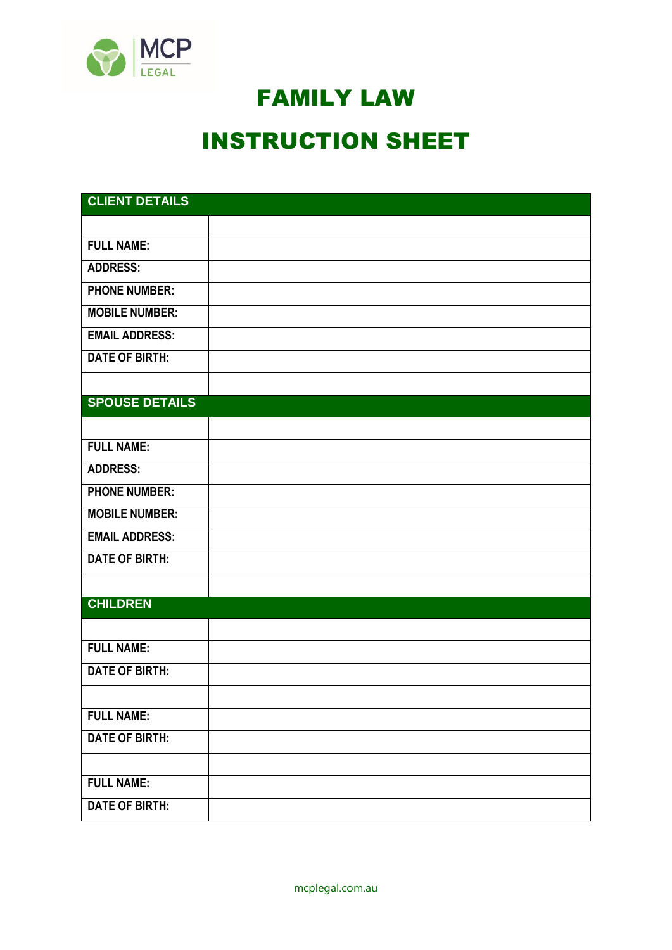

## FAMILY LAW

## INSTRUCTION SHEET

| <b>CLIENT DETAILS</b> |  |
|-----------------------|--|
|                       |  |
| <b>FULL NAME:</b>     |  |
| <b>ADDRESS:</b>       |  |
| <b>PHONE NUMBER:</b>  |  |
| <b>MOBILE NUMBER:</b> |  |
| <b>EMAIL ADDRESS:</b> |  |
| <b>DATE OF BIRTH:</b> |  |
|                       |  |
| <b>SPOUSE DETAILS</b> |  |
|                       |  |
| <b>FULL NAME:</b>     |  |
| <b>ADDRESS:</b>       |  |
| <b>PHONE NUMBER:</b>  |  |
| <b>MOBILE NUMBER:</b> |  |
| <b>EMAIL ADDRESS:</b> |  |
| <b>DATE OF BIRTH:</b> |  |
|                       |  |
| <b>CHILDREN</b>       |  |
|                       |  |
| <b>FULL NAME:</b>     |  |
| <b>DATE OF BIRTH:</b> |  |
|                       |  |
| <b>FULL NAME:</b>     |  |
| <b>DATE OF BIRTH:</b> |  |
|                       |  |
| <b>FULL NAME:</b>     |  |
| <b>DATE OF BIRTH:</b> |  |

mcplegal.com.au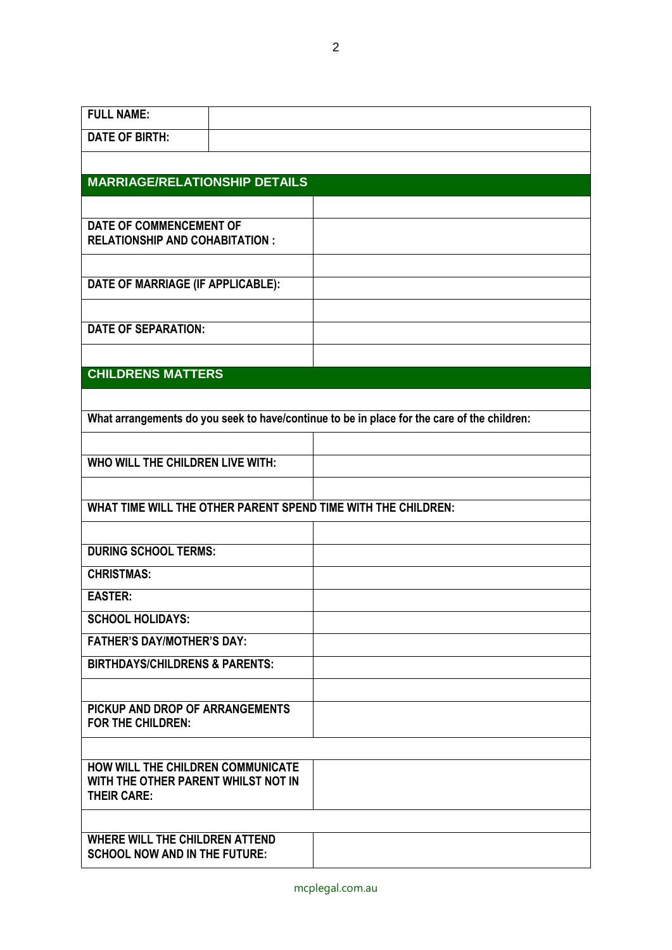| <b>FULL NAME:</b>                                                                              |                                                                                             |
|------------------------------------------------------------------------------------------------|---------------------------------------------------------------------------------------------|
| <b>DATE OF BIRTH:</b>                                                                          |                                                                                             |
|                                                                                                |                                                                                             |
| <b>MARRIAGE/RELATIONSHIP DETAILS</b>                                                           |                                                                                             |
|                                                                                                |                                                                                             |
| <b>DATE OF COMMENCEMENT OF</b><br><b>RELATIONSHIP AND COHABITATION:</b>                        |                                                                                             |
|                                                                                                |                                                                                             |
| DATE OF MARRIAGE (IF APPLICABLE):                                                              |                                                                                             |
| <b>DATE OF SEPARATION:</b>                                                                     |                                                                                             |
|                                                                                                |                                                                                             |
| <b>CHILDRENS MATTERS</b>                                                                       |                                                                                             |
|                                                                                                |                                                                                             |
|                                                                                                | What arrangements do you seek to have/continue to be in place for the care of the children: |
|                                                                                                |                                                                                             |
| WHO WILL THE CHILDREN LIVE WITH:                                                               |                                                                                             |
| WHAT TIME WILL THE OTHER PARENT SPEND TIME WITH THE CHILDREN:                                  |                                                                                             |
|                                                                                                |                                                                                             |
| <b>DURING SCHOOL TERMS:</b>                                                                    |                                                                                             |
| <b>CHRISTMAS:</b>                                                                              |                                                                                             |
| <b>EASTER:</b>                                                                                 |                                                                                             |
| <b>SCHOOL HOLIDAYS:</b>                                                                        |                                                                                             |
| <b>FATHER'S DAY/MOTHER'S DAY:</b>                                                              |                                                                                             |
| <b>BIRTHDAYS/CHILDRENS &amp; PARENTS:</b>                                                      |                                                                                             |
|                                                                                                |                                                                                             |
| PICKUP AND DROP OF ARRANGEMENTS<br><b>FOR THE CHILDREN:</b>                                    |                                                                                             |
|                                                                                                |                                                                                             |
| HOW WILL THE CHILDREN COMMUNICATE<br>WITH THE OTHER PARENT WHILST NOT IN<br><b>THEIR CARE:</b> |                                                                                             |
|                                                                                                |                                                                                             |
| <b>WHERE WILL THE CHILDREN ATTEND</b><br><b>SCHOOL NOW AND IN THE FUTURE:</b>                  |                                                                                             |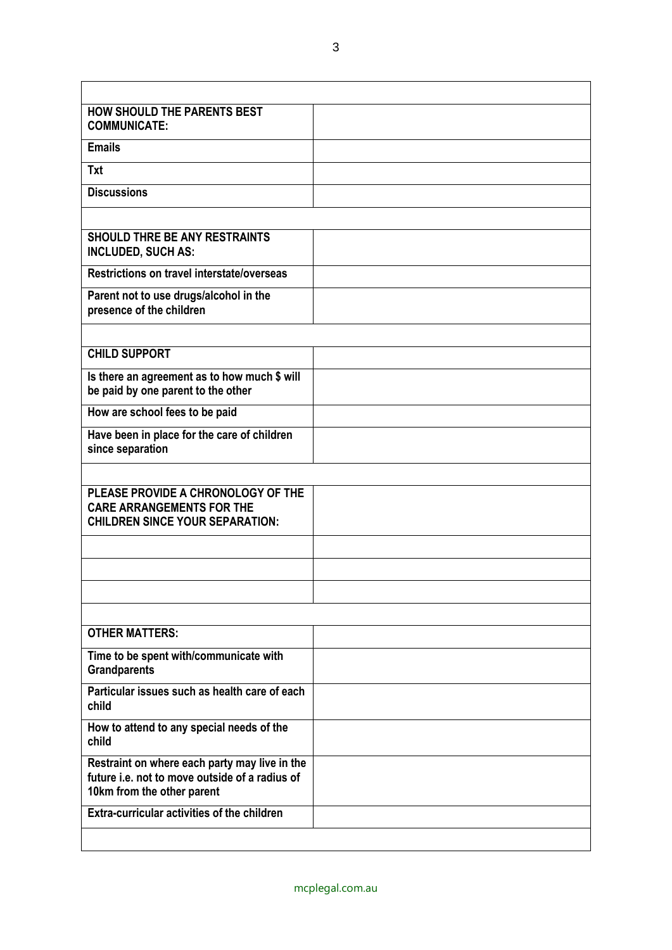| <b>HOW SHOULD THE PARENTS BEST</b><br><b>COMMUNICATE:</b>                                                                     |  |
|-------------------------------------------------------------------------------------------------------------------------------|--|
| <b>Emails</b>                                                                                                                 |  |
| <b>Txt</b>                                                                                                                    |  |
| <b>Discussions</b>                                                                                                            |  |
|                                                                                                                               |  |
| <b>SHOULD THRE BE ANY RESTRAINTS</b><br><b>INCLUDED, SUCH AS:</b>                                                             |  |
| Restrictions on travel interstate/overseas                                                                                    |  |
| Parent not to use drugs/alcohol in the<br>presence of the children                                                            |  |
|                                                                                                                               |  |
| <b>CHILD SUPPORT</b>                                                                                                          |  |
| Is there an agreement as to how much \$ will<br>be paid by one parent to the other                                            |  |
| How are school fees to be paid                                                                                                |  |
| Have been in place for the care of children<br>since separation                                                               |  |
|                                                                                                                               |  |
| PLEASE PROVIDE A CHRONOLOGY OF THE<br><b>CARE ARRANGEMENTS FOR THE</b><br><b>CHILDREN SINCE YOUR SEPARATION:</b>              |  |
|                                                                                                                               |  |
|                                                                                                                               |  |
|                                                                                                                               |  |
|                                                                                                                               |  |
| <b>OTHER MATTERS:</b>                                                                                                         |  |
| Time to be spent with/communicate with<br><b>Grandparents</b>                                                                 |  |
| Particular issues such as health care of each<br>child                                                                        |  |
| How to attend to any special needs of the<br>child                                                                            |  |
| Restraint on where each party may live in the<br>future i.e. not to move outside of a radius of<br>10km from the other parent |  |
| <b>Extra-curricular activities of the children</b>                                                                            |  |
|                                                                                                                               |  |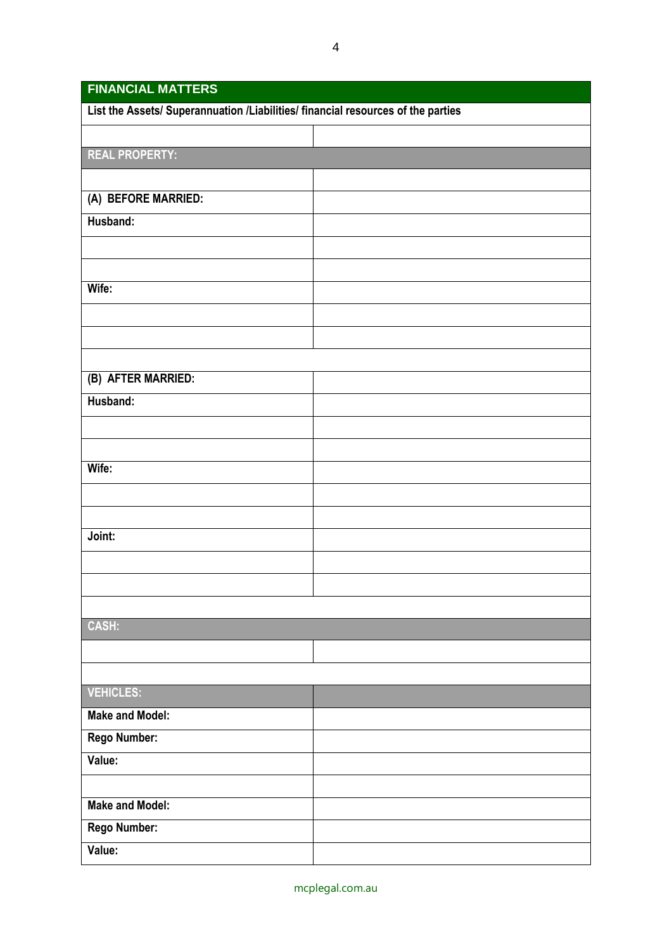| <b>FINANCIAL MATTERS</b>                                                         |  |  |
|----------------------------------------------------------------------------------|--|--|
| List the Assets/ Superannuation /Liabilities/ financial resources of the parties |  |  |
|                                                                                  |  |  |
| <b>REAL PROPERTY:</b>                                                            |  |  |
|                                                                                  |  |  |
| (A) BEFORE MARRIED:                                                              |  |  |
| Husband:                                                                         |  |  |
|                                                                                  |  |  |
|                                                                                  |  |  |
| Wife:                                                                            |  |  |
|                                                                                  |  |  |
|                                                                                  |  |  |
|                                                                                  |  |  |
| (B) AFTER MARRIED:                                                               |  |  |
| Husband:                                                                         |  |  |
|                                                                                  |  |  |
|                                                                                  |  |  |
| Wife:                                                                            |  |  |
|                                                                                  |  |  |
|                                                                                  |  |  |
| Joint:                                                                           |  |  |
|                                                                                  |  |  |
|                                                                                  |  |  |
|                                                                                  |  |  |
| CASH:                                                                            |  |  |
|                                                                                  |  |  |
|                                                                                  |  |  |
| <b>VEHICLES:</b>                                                                 |  |  |
| <b>Make and Model:</b>                                                           |  |  |
| Rego Number:                                                                     |  |  |
| Value:                                                                           |  |  |
|                                                                                  |  |  |
| <b>Make and Model:</b>                                                           |  |  |
| Rego Number:                                                                     |  |  |
| Value:                                                                           |  |  |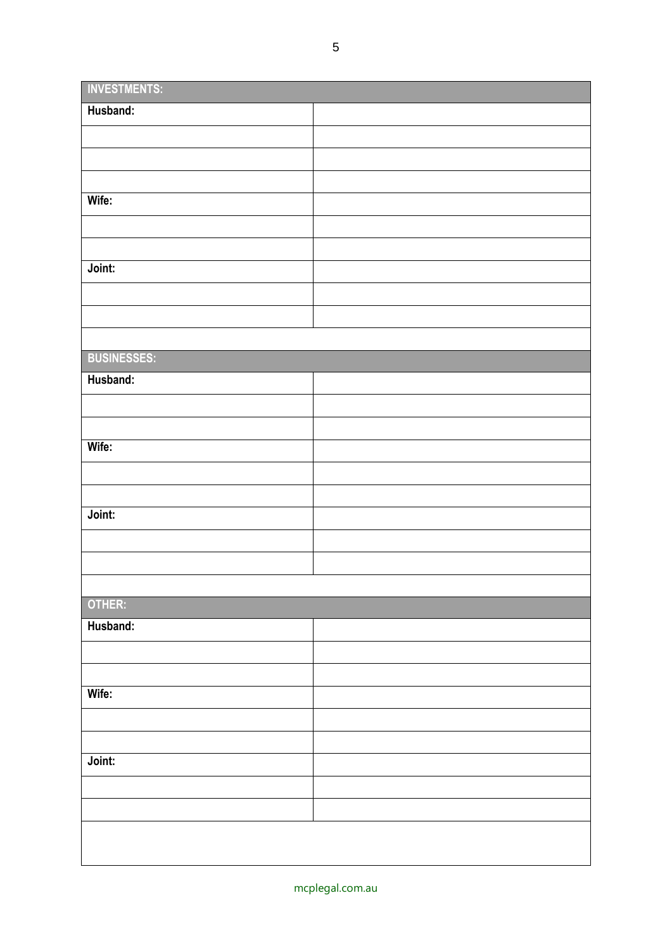| <b>INVESTMENTS:</b> |  |
|---------------------|--|
| Husband:            |  |
|                     |  |
|                     |  |
|                     |  |
| Wife:               |  |
|                     |  |
|                     |  |
| Joint:              |  |
|                     |  |
|                     |  |
|                     |  |
| <b>BUSINESSES:</b>  |  |
| Husband:            |  |
|                     |  |
|                     |  |
| Wife:               |  |
|                     |  |
|                     |  |
| Joint:              |  |
|                     |  |
|                     |  |
|                     |  |
| OTHER:              |  |
| Husband:            |  |
|                     |  |
|                     |  |
| Wife:               |  |
|                     |  |
|                     |  |
| Joint:              |  |
|                     |  |
|                     |  |
|                     |  |
|                     |  |
|                     |  |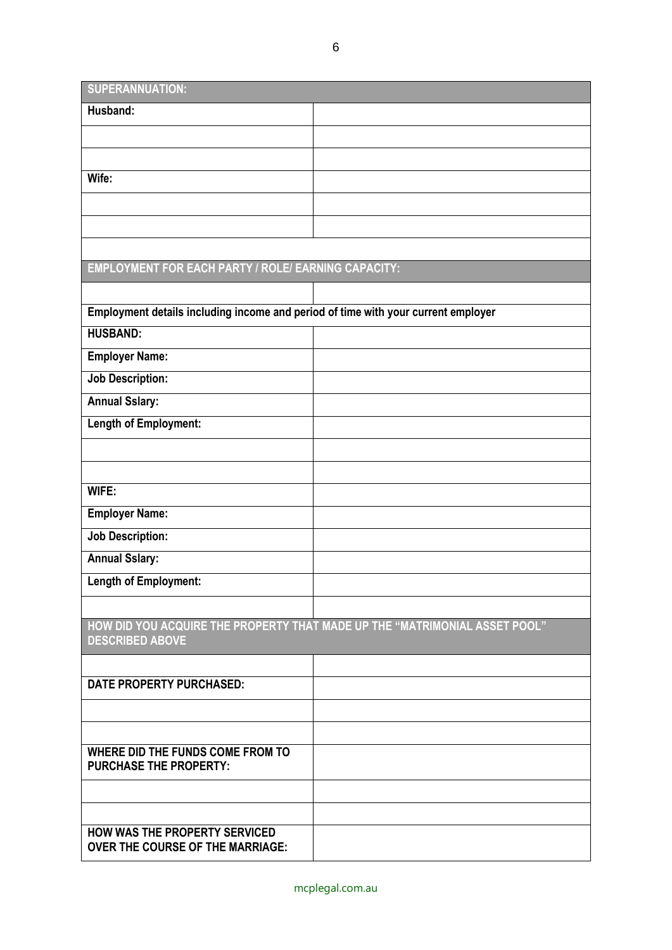| SUPERANNUATION: |
|-----------------|

| <b>SUPERANNUATIUN:</b>                                                            |                                                                            |
|-----------------------------------------------------------------------------------|----------------------------------------------------------------------------|
| Husband:                                                                          |                                                                            |
|                                                                                   |                                                                            |
|                                                                                   |                                                                            |
| Wife:                                                                             |                                                                            |
|                                                                                   |                                                                            |
|                                                                                   |                                                                            |
|                                                                                   |                                                                            |
| <b>EMPLOYMENT FOR EACH PARTY / ROLE/ EARNING CAPACITY:</b>                        |                                                                            |
|                                                                                   |                                                                            |
| Employment details including income and period of time with your current employer |                                                                            |
| <b>HUSBAND:</b>                                                                   |                                                                            |
| <b>Employer Name:</b>                                                             |                                                                            |
| <b>Job Description:</b>                                                           |                                                                            |
| <b>Annual Sslary:</b>                                                             |                                                                            |
| Length of Employment:                                                             |                                                                            |
|                                                                                   |                                                                            |
|                                                                                   |                                                                            |
| WIFE:                                                                             |                                                                            |
| <b>Employer Name:</b>                                                             |                                                                            |
| <b>Job Description:</b>                                                           |                                                                            |
| <b>Annual Sslary:</b>                                                             |                                                                            |
| <b>Length of Employment:</b>                                                      |                                                                            |
|                                                                                   |                                                                            |
| <b>DESCRIBED ABOVE</b>                                                            | HOW DID YOU ACQUIRE THE PROPERTY THAT MADE UP THE "MATRIMONIAL ASSET POOL" |
|                                                                                   |                                                                            |
| <b>DATE PROPERTY PURCHASED:</b>                                                   |                                                                            |
|                                                                                   |                                                                            |
|                                                                                   |                                                                            |
| WHERE DID THE FUNDS COME FROM TO<br><b>PURCHASE THE PROPERTY:</b>                 |                                                                            |
|                                                                                   |                                                                            |
|                                                                                   |                                                                            |
| <b>HOW WAS THE PROPERTY SERVICED</b><br><b>OVER THE COURSE OF THE MARRIAGE:</b>   |                                                                            |

۰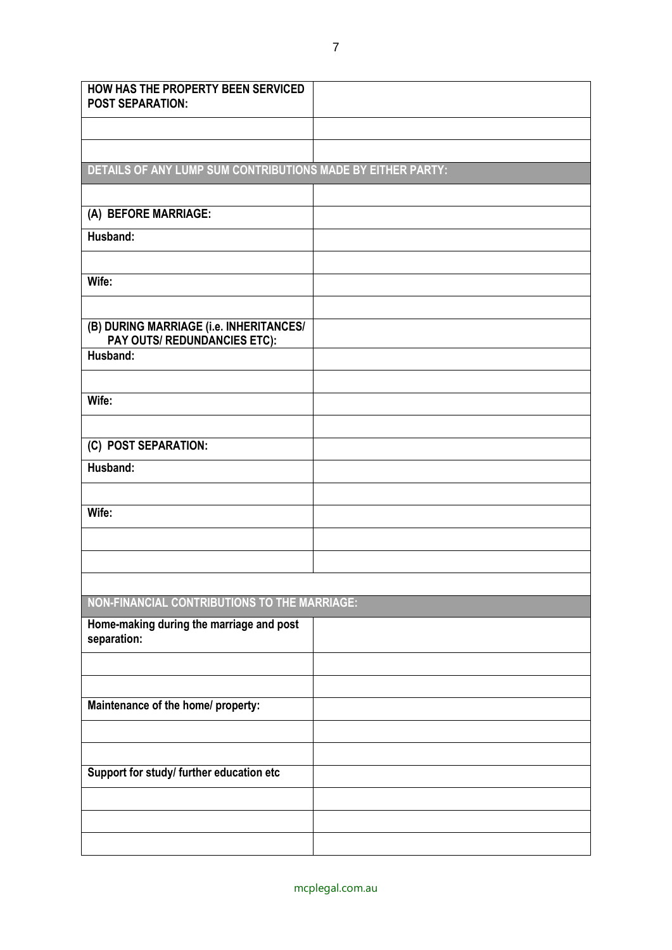| <b>HOW HAS THE PROPERTY BEEN SERVICED</b><br><b>POST SEPARATION:</b>    |  |
|-------------------------------------------------------------------------|--|
|                                                                         |  |
|                                                                         |  |
| DETAILS OF ANY LUMP SUM CONTRIBUTIONS MADE BY EITHER PARTY:             |  |
|                                                                         |  |
| (A) BEFORE MARRIAGE:                                                    |  |
| Husband:                                                                |  |
|                                                                         |  |
| Wife:                                                                   |  |
|                                                                         |  |
| (B) DURING MARRIAGE (i.e. INHERITANCES/<br>PAY OUTS/ REDUNDANCIES ETC): |  |
| Husband:                                                                |  |
|                                                                         |  |
| Wife:                                                                   |  |
|                                                                         |  |
| (C) POST SEPARATION:                                                    |  |
| Husband:                                                                |  |
|                                                                         |  |
| Wife:                                                                   |  |
|                                                                         |  |
|                                                                         |  |
|                                                                         |  |
| NON-FINANCIAL CONTRIBUTIONS TO THE MARRIAGE:                            |  |
| Home-making during the marriage and post<br>separation:                 |  |
|                                                                         |  |
|                                                                         |  |
| Maintenance of the home/ property:                                      |  |
|                                                                         |  |
|                                                                         |  |
| Support for study/ further education etc                                |  |
|                                                                         |  |
|                                                                         |  |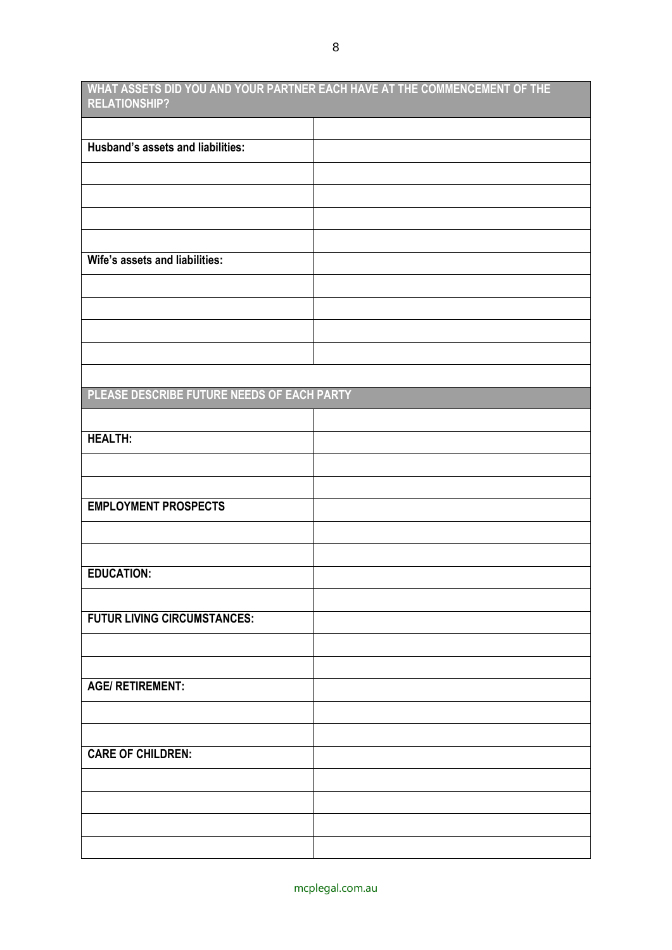**WHAT ASSETS DID YOU AND YOUR PARTNER EACH HAVE AT THE COMMENCEMENT OF THE RELATIONSHIP?**

| Husband's assets and liabilities:          |  |
|--------------------------------------------|--|
|                                            |  |
|                                            |  |
|                                            |  |
|                                            |  |
| Wife's assets and liabilities:             |  |
|                                            |  |
|                                            |  |
|                                            |  |
|                                            |  |
|                                            |  |
| PLEASE DESCRIBE FUTURE NEEDS OF EACH PARTY |  |
|                                            |  |
| <b>HEALTH:</b>                             |  |
|                                            |  |
|                                            |  |
| <b>EMPLOYMENT PROSPECTS</b>                |  |
|                                            |  |
|                                            |  |
| <b>EDUCATION:</b>                          |  |
|                                            |  |
| <b>FUTUR LIVING CIRCUMSTANCES:</b>         |  |
|                                            |  |
|                                            |  |
| <b>AGE/ RETIREMENT:</b>                    |  |
|                                            |  |
|                                            |  |
| <b>CARE OF CHILDREN:</b>                   |  |
|                                            |  |
|                                            |  |
|                                            |  |
|                                            |  |